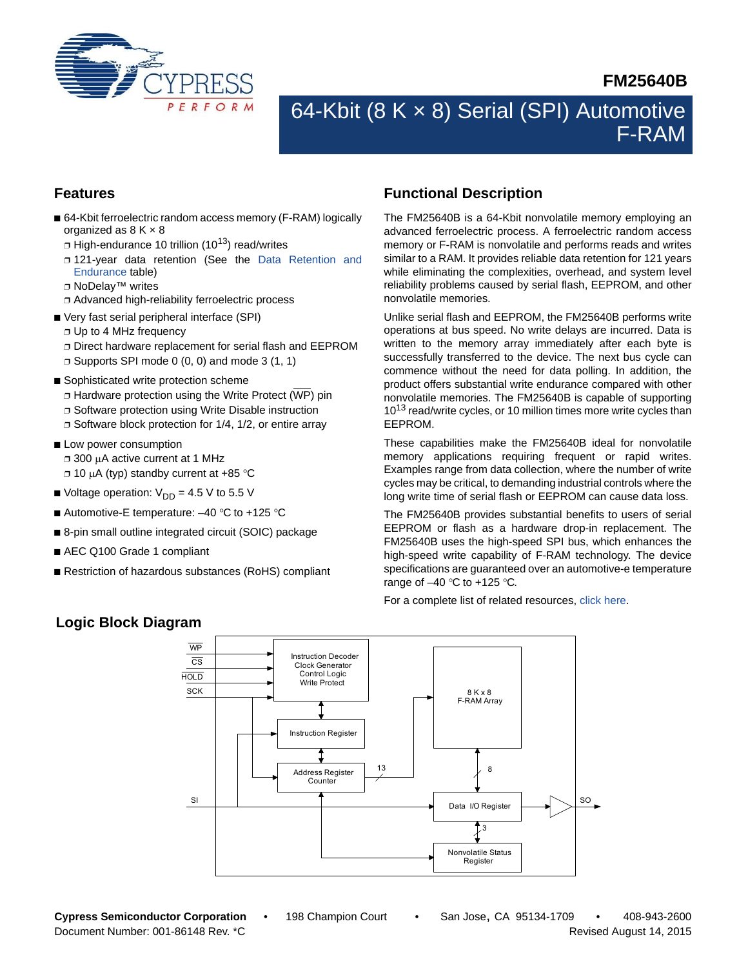

# **FM25640B**

# 64-Kbit (8 K x 8) Serial (SPI) Automotive F-RAM

# **Features**

- 64-Kbit ferroelectric random access memory (F-RAM) logically organized as  $8 K \times 8$ 
	- $\Box$  High-endurance 10 trillion (10<sup>13</sup>) read/writes
	- ❐ 121-year data retention (See the [Data Retention and](#page-11-0) [Endurance](#page-11-0) table)
	- ❐ NoDelay™ writes
	- ❐ Advanced high-reliability ferroelectric process
- Very fast serial peripheral interface (SPI)
	- ❐ Up to 4 MHz frequency
	- ❐ Direct hardware replacement for serial flash and EEPROM
	- $\Box$  Supports SPI mode 0 (0, 0) and mode 3 (1, 1)
- Sophisticated write protection scheme  $\Box$  Hardware protection using the Write Protect (WP) pin ❐ Software protection using Write Disable instruction ❐ Software block protection for 1/4, 1/2, or entire array
- Low power consumption ❐ 300 A active current at 1 MHz  $\Box$  10 μA (typ) standby current at +85 °C
- Voltage operation:  $V_{DD} = 4.5 V$  to 5.5 V
- Automotive-E temperature:  $-40$  °C to +125 °C
- 8-pin small outline integrated circuit (SOIC) package
- AEC Q100 Grade 1 compliant
- Restriction of hazardous substances (RoHS) compliant

# <span id="page-0-0"></span>**Functional Description**

The FM25640B is a 64-Kbit nonvolatile memory employing an advanced ferroelectric process. A ferroelectric random access memory or F-RAM is nonvolatile and performs reads and writes similar to a RAM. It provides reliable data retention for 121 years while eliminating the complexities, overhead, and system level reliability problems caused by serial flash, EEPROM, and other nonvolatile memories.

Unlike serial flash and EEPROM, the FM25640B performs write operations at bus speed. No write delays are incurred. Data is written to the memory array immediately after each byte is successfully transferred to the device. The next bus cycle can commence without the need for data polling. In addition, the product offers substantial write endurance compared with other nonvolatile memories. The FM25640B is capable of supporting 10<sup>13</sup> read/write cycles, or 10 million times more write cycles than EEPROM.

These capabilities make the FM25640B ideal for nonvolatile memory applications requiring frequent or rapid writes. Examples range from data collection, where the number of write cycles may be critical, to demanding industrial controls where the long write time of serial flash or EEPROM can cause data loss.

The FM25640B provides substantial benefits to users of serial EEPROM or flash as a hardware drop-in replacement. The FM25640B uses the high-speed SPI bus, which enhances the high-speed write capability of F-RAM technology. The device specifications are guaranteed over an automotive-e temperature range of  $-40$  °C to  $+125$  °C.

For a complete list of related resources, [click here.](http://www.cypress.com/?rID=76562)



# **Logic Block Diagram**

**Cypress Semiconductor Corporation** • 198 Champion Court • San Jose, CA 95134-1709 • 408-943-2600 Document Number: 001-86148 Rev. \*C Revised August 14, 2015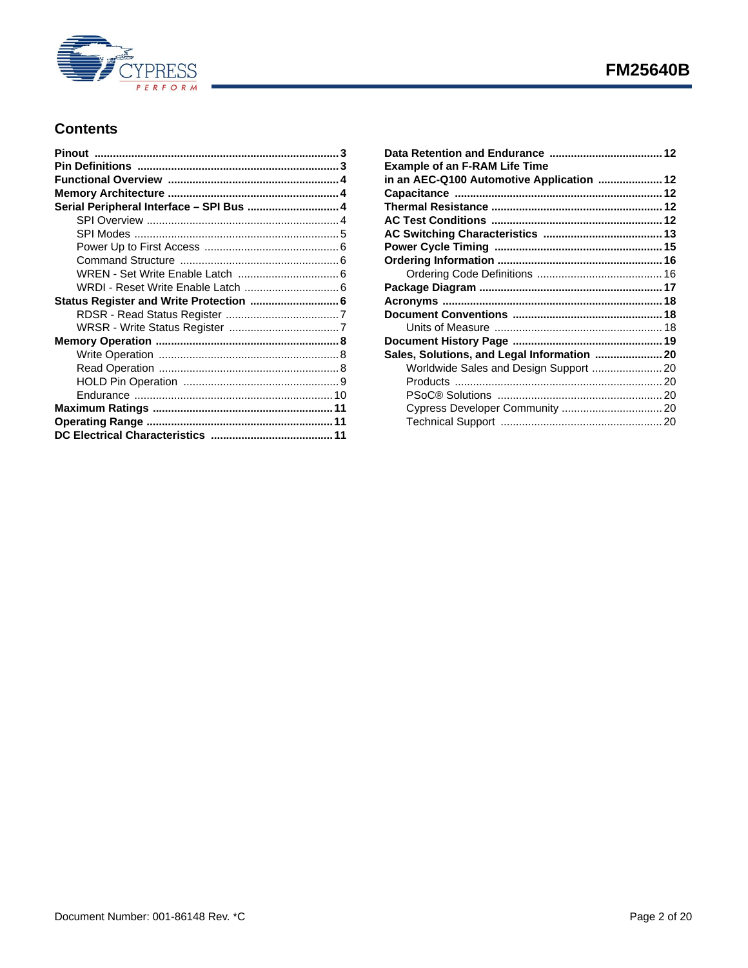

# **Contents**

| Serial Peripheral Interface - SPI Bus  4 |  |
|------------------------------------------|--|
|                                          |  |
|                                          |  |
|                                          |  |
|                                          |  |
|                                          |  |
|                                          |  |
| Status Register and Write Protection  6  |  |
|                                          |  |
|                                          |  |
|                                          |  |
|                                          |  |
|                                          |  |
|                                          |  |
|                                          |  |
|                                          |  |
|                                          |  |
|                                          |  |

| <b>Example of an F-RAM Life Time</b>      |  |
|-------------------------------------------|--|
| in an AEC-Q100 Automotive Application  12 |  |
|                                           |  |
|                                           |  |
|                                           |  |
|                                           |  |
|                                           |  |
|                                           |  |
|                                           |  |
|                                           |  |
|                                           |  |
|                                           |  |
|                                           |  |
|                                           |  |
|                                           |  |
| Worldwide Sales and Design Support  20    |  |
|                                           |  |
|                                           |  |
|                                           |  |
|                                           |  |
|                                           |  |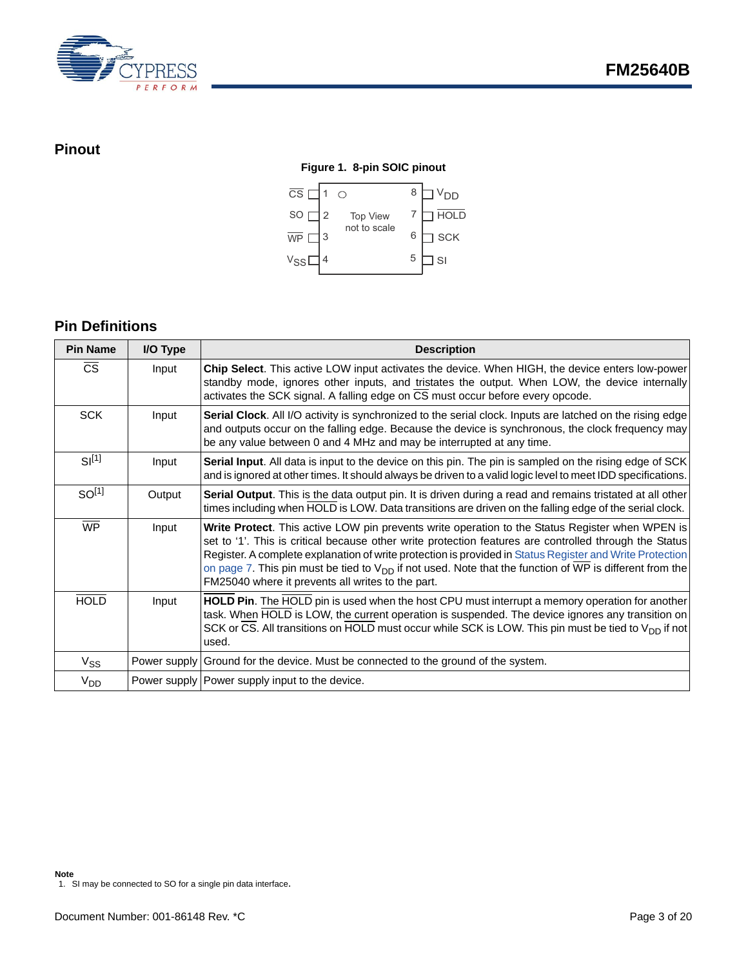

# <span id="page-2-0"></span>**Pinout**

### **Figure 1. 8-pin SOIC pinout**



# <span id="page-2-1"></span>**Pin Definitions**

| <b>Pin Name</b>   | I/O Type | <b>Description</b>                                                                                                                                                                                                                                                                                                                                                                                                                                                                         |  |  |
|-------------------|----------|--------------------------------------------------------------------------------------------------------------------------------------------------------------------------------------------------------------------------------------------------------------------------------------------------------------------------------------------------------------------------------------------------------------------------------------------------------------------------------------------|--|--|
| <b>CS</b>         | Input    | Chip Select. This active LOW input activates the device. When HIGH, the device enters low-power<br>standby mode, ignores other inputs, and tristates the output. When LOW, the device internally<br>activates the SCK signal. A falling edge on CS must occur before every opcode.                                                                                                                                                                                                         |  |  |
| <b>SCK</b>        | Input    | Serial Clock. All I/O activity is synchronized to the serial clock. Inputs are latched on the rising edge<br>and outputs occur on the falling edge. Because the device is synchronous, the clock frequency may<br>be any value between 0 and 4 MHz and may be interrupted at any time.                                                                                                                                                                                                     |  |  |
| $SI^{[1]}$        | Input    | Serial Input. All data is input to the device on this pin. The pin is sampled on the rising edge of SCK<br>and is ignored at other times. It should always be driven to a valid logic level to meet IDD specifications.                                                                                                                                                                                                                                                                    |  |  |
| SO <sup>[1]</sup> | Output   | <b>Serial Output.</b> This is the data output pin. It is driven during a read and remains tristated at all other<br>times including when HOLD is LOW. Data transitions are driven on the falling edge of the serial clock.                                                                                                                                                                                                                                                                 |  |  |
| <b>WP</b>         | Input    | Write Protect. This active LOW pin prevents write operation to the Status Register when WPEN is<br>set to '1'. This is critical because other write protection features are controlled through the Status<br>Register. A complete explanation of write protection is provided in Status Register and Write Protection<br>on page 7. This pin must be tied to $V_{DD}$ if not used. Note that the function of WP is different from the<br>FM25040 where it prevents all writes to the part. |  |  |
| <b>HOLD</b>       | Input    | <b>HOLD Pin.</b> The HOLD pin is used when the host CPU must interrupt a memory operation for another<br>task. When HOLD is LOW, the current operation is suspended. The device ignores any transition on<br>SCK or CS. All transitions on HOLD must occur while SCK is LOW. This pin must be tied to $V_{DD}$ if not<br>used.                                                                                                                                                             |  |  |
| $V_{SS}$          |          | Power supply Ground for the device. Must be connected to the ground of the system.                                                                                                                                                                                                                                                                                                                                                                                                         |  |  |
| $V_{DD}$          |          | Power supply   Power supply input to the device.                                                                                                                                                                                                                                                                                                                                                                                                                                           |  |  |

<span id="page-2-2"></span><sup>1.</sup> SI may be connected to SO for a single pin data interface.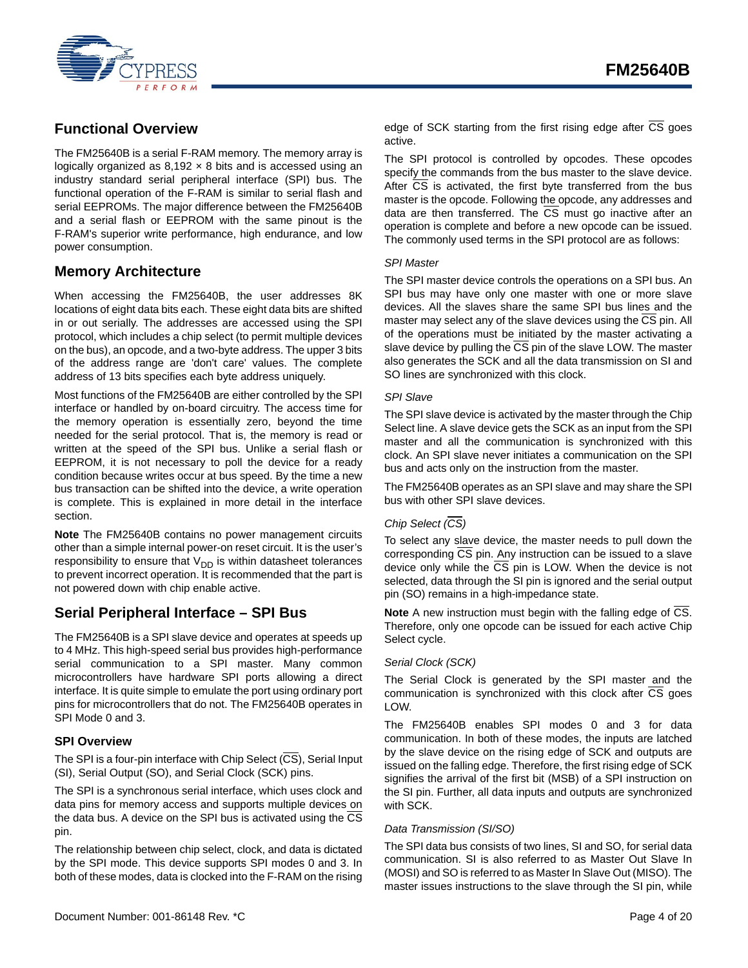

# <span id="page-3-0"></span>**Functional Overview**

The FM25640B is a serial F-RAM memory. The memory array is logically organized as  $8,192 \times 8$  bits and is accessed using an industry standard serial peripheral interface (SPI) bus. The functional operation of the F-RAM is similar to serial flash and serial EEPROMs. The major difference between the FM25640B and a serial flash or EEPROM with the same pinout is the F-RAM's superior write performance, high endurance, and low power consumption.

# <span id="page-3-1"></span>**Memory Architecture**

When accessing the FM25640B, the user addresses 8K locations of eight data bits each. These eight data bits are shifted in or out serially. The addresses are accessed using the SPI protocol, which includes a chip select (to permit multiple devices on the bus), an opcode, and a two-byte address. The upper 3 bits of the address range are 'don't care' values. The complete address of 13 bits specifies each byte address uniquely.

Most functions of the FM25640B are either controlled by the SPI interface or handled by on-board circuitry. The access time for the memory operation is essentially zero, beyond the time needed for the serial protocol. That is, the memory is read or written at the speed of the SPI bus. Unlike a serial flash or EEPROM, it is not necessary to poll the device for a ready condition because writes occur at bus speed. By the time a new bus transaction can be shifted into the device, a write operation is complete. This is explained in more detail in the interface section.

**Note** The FM25640B contains no power management circuits other than a simple internal power-on reset circuit. It is the user's responsibility to ensure that  $V_{DD}$  is within datasheet tolerances to prevent incorrect operation. It is recommended that the part is not powered down with chip enable active.

# <span id="page-3-2"></span>**Serial Peripheral Interface – SPI Bus**

The FM25640B is a SPI slave device and operates at speeds up to 4 MHz. This high-speed serial bus provides high-performance serial communication to a SPI master. Many common microcontrollers have hardware SPI ports allowing a direct interface. It is quite simple to emulate the port using ordinary port pins for microcontrollers that do not. The FM25640B operates in SPI Mode 0 and 3.

### <span id="page-3-3"></span>**SPI Overview**

The SPI is a four-pin interface with Chip Select  $(\overline{CS})$ , Serial Input (SI), Serial Output (SO), and Serial Clock (SCK) pins.

The SPI is a synchronous serial interface, which uses clock and data pins for memory access and supports multiple devices on the data bus. A device on the SPI bus is activated using the CS pin.

The relationship between chip select, clock, and data is dictated by the SPI mode. This device supports SPI modes 0 and 3. In both of these modes, data is clocked into the F-RAM on the rising The SPI protocol is controlled by opcodes. These opcodes specify the commands from the bus master to the slave device. After CS is activated, the first byte transferred from the bus master is the opcode. Following the opcode, any addresses and data are then transferred. The CS must go inactive after an operation is complete and before a new opcode can be issued. The commonly used terms in the SPI protocol are as follows:

### *SPI Master*

The SPI master device controls the operations on a SPI bus. An SPI bus may have only one master with one or more slave devices. All the slaves share the same SPI bus lines and the master may select any of the slave devices using the CS pin. All of the operations must be initiated by the master activating a slave device by pulling the CS pin of the slave LOW. The master also generates the SCK and all the data transmission on SI and SO lines are synchronized with this clock.

### *SPI Slave*

The SPI slave device is activated by the master through the Chip Select line. A slave device gets the SCK as an input from the SPI master and all the communication is synchronized with this clock. An SPI slave never initiates a communication on the SPI bus and acts only on the instruction from the master.

The FM25640B operates as an SPI slave and may share the SPI bus with other SPI slave devices.

### *Chip Select (CS)*

To select any slave device, the master needs to pull down the corresponding CS pin. Any instruction can be issued to a slave device only while the  $\overline{CS}$  pin is LOW. When the device is not selected, data through the SI pin is ignored and the serial output pin (SO) remains in a high-impedance state.

**Note** A new instruction must begin with the falling edge of CS. Therefore, only one opcode can be issued for each active Chip Select cycle.

### *Serial Clock (SCK)*

The Serial Clock is generated by the SPI master and the communication is synchronized with this clock after CS goes LOW.

The FM25640B enables SPI modes 0 and 3 for data communication. In both of these modes, the inputs are latched by the slave device on the rising edge of SCK and outputs are issued on the falling edge. Therefore, the first rising edge of SCK signifies the arrival of the first bit (MSB) of a SPI instruction on the SI pin. Further, all data inputs and outputs are synchronized with SCK.

### *Data Transmission (SI/SO)*

The SPI data bus consists of two lines, SI and SO, for serial data communication. SI is also referred to as Master Out Slave In (MOSI) and SO is referred to as Master In Slave Out (MISO). The master issues instructions to the slave through the SI pin, while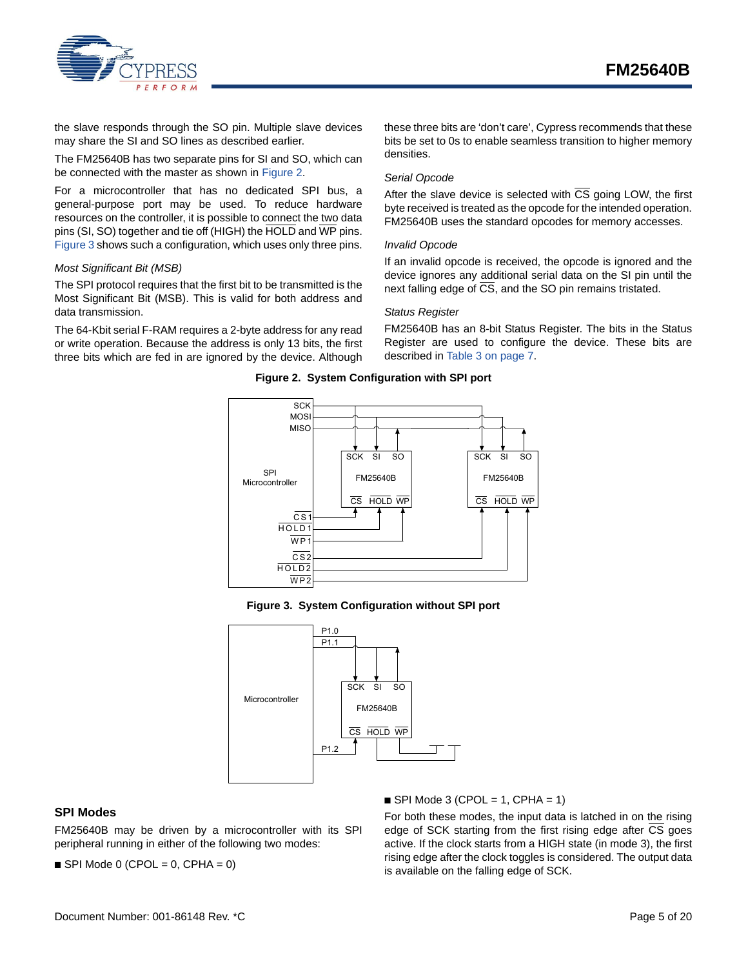

the slave responds through the SO pin. Multiple slave devices may share the SI and SO lines as described earlier.

The FM25640B has two separate pins for SI and SO, which can be connected with the master as shown in [Figure 2.](#page-4-1)

For a microcontroller that has no dedicated SPI bus, a general-purpose port may be used. To reduce hardware resources on the controller, it is possible to connect the two data pins (SI, SO) together and tie off (HIGH) the HOLD and WP pins. [Figure 3](#page-4-2) shows such a configuration, which uses only three pins.

#### *Most Significant Bit (MSB)*

The SPI protocol requires that the first bit to be transmitted is the Most Significant Bit (MSB). This is valid for both address and data transmission.

<span id="page-4-1"></span>The 64-Kbit serial F-RAM requires a 2-byte address for any read or write operation. Because the address is only 13 bits, the first three bits which are fed in are ignored by the device. Although

these three bits are 'don't care', Cypress recommends that these bits be set to 0s to enable seamless transition to higher memory densities.

#### *Serial Opcode*

After the slave device is selected with  $\overline{CS}$  going LOW, the first byte received is treated as the opcode for the intended operation. FM25640B uses the standard opcodes for memory accesses.

#### *Invalid Opcode*

If an invalid opcode is received, the opcode is ignored and the device ignores any additional serial data on the SI pin until the next falling edge of  $\overline{CS}$ , and the SO pin remains tristated.

#### *Status Register*

FM25640B has an 8-bit Status Register. The bits in the Status Register are used to configure the device. These bits are described in [Table 3 on page 7.](#page-6-3)

#### **Figure 2. System Configuration with SPI port**



**Figure 3. System Configuration without SPI port**

<span id="page-4-2"></span>

### <span id="page-4-0"></span>**SPI Modes**

FM25640B may be driven by a microcontroller with its SPI peripheral running in either of the following two modes:

 $\blacksquare$  SPI Mode 0 (CPOL = 0, CPHA = 0)

 $\blacksquare$  SPI Mode 3 (CPOL = 1, CPHA = 1)

For both these modes, the input data is latched in on the rising edge of SCK starting from the first rising edge after  $\overline{\text{CS}}$  goes active. If the clock starts from a HIGH state (in mode 3), the first rising edge after the clock toggles is considered. The output data is available on the falling edge of SCK.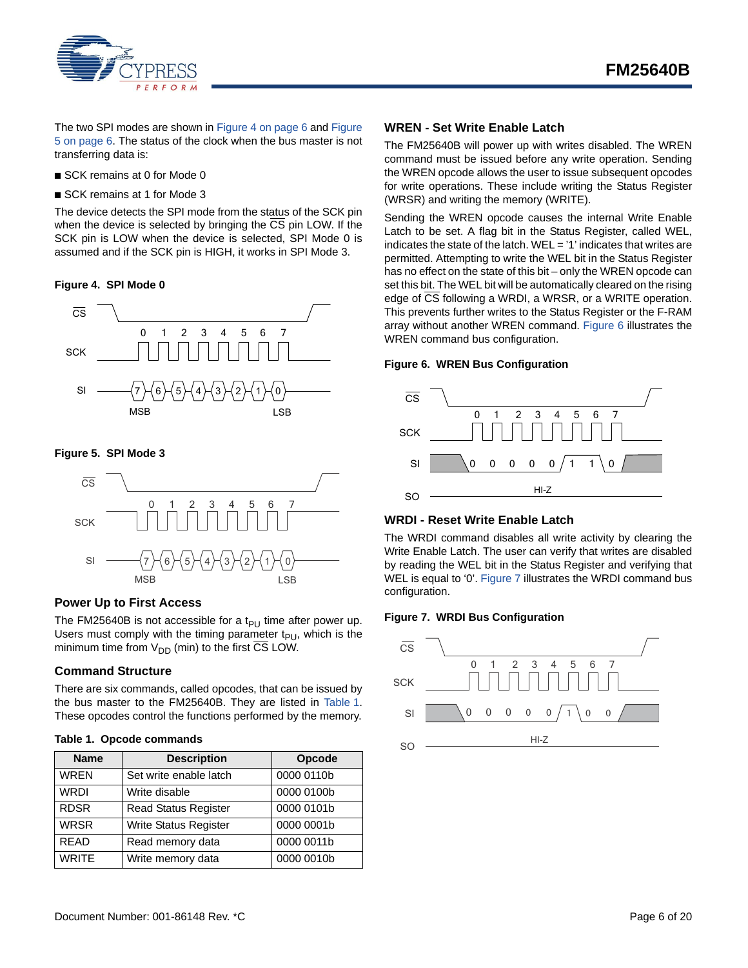

The two SPI modes are shown in [Figure 4 on page 6](#page-5-4) and [Figure](#page-5-5) [5 on page 6](#page-5-5). The status of the clock when the bus master is not transferring data is:

- SCK remains at 0 for Mode 0
- SCK remains at 1 for Mode 3

The device detects the SPI mode from the status of the SCK pin when the device is selected by bringing the CS pin LOW. If the SCK pin is LOW when the device is selected, SPI Mode 0 is assumed and if the SCK pin is HIGH, it works in SPI Mode 3.

#### <span id="page-5-4"></span>**Figure 4. SPI Mode 0**



#### <span id="page-5-5"></span>**Figure 5. SPI Mode 3**



#### <span id="page-5-0"></span>**Power Up to First Access**

The FM25640B is not accessible for a t<sub>PU</sub> time after power up. Users must comply with the timing parameter  $t_{PI}$ , which is the minimum time from  $V_{DD}$  (min) to the first CS LOW.

### <span id="page-5-1"></span>**Command Structure**

There are six commands, called opcodes, that can be issued by the bus master to the FM25640B. They are listed in Table 1. These opcodes control the functions performed by the memory.

#### **Table 1. Opcode commands**

| <b>Name</b>  | <b>Description</b>           | Opcode     |
|--------------|------------------------------|------------|
| <b>WREN</b>  | Set write enable latch       | 0000 0110b |
| <b>WRDI</b>  | Write disable                | 0000 0100b |
| <b>RDSR</b>  | <b>Read Status Register</b>  | 0000 0101b |
| <b>WRSR</b>  | <b>Write Status Register</b> | 0000 0001b |
| <b>READ</b>  | Read memory data             | 0000 0011b |
| <b>WRITE</b> | Write memory data            | 0000 0010b |

### <span id="page-5-2"></span>**WREN - Set Write Enable Latch**

The FM25640B will power up with writes disabled. The WREN command must be issued before any write operation. Sending the WREN opcode allows the user to issue subsequent opcodes for write operations. These include writing the Status Register (WRSR) and writing the memory (WRITE).

Sending the WREN opcode causes the internal Write Enable Latch to be set. A flag bit in the Status Register, called WEL, indicates the state of the latch. WEL = '1' indicates that writes are permitted. Attempting to write the WEL bit in the Status Register has no effect on the state of this bit – only the WREN opcode can set this bit. The WEL bit will be automatically cleared on the rising edge of CS following a WRDI, a WRSR, or a WRITE operation. This prevents further writes to the Status Register or the F-RAM array without another WREN command. [Figure 6](#page-5-6) illustrates the WREN command bus configuration.

#### <span id="page-5-6"></span>**Figure 6. WREN Bus Configuration**



#### <span id="page-5-3"></span>**WRDI - Reset Write Enable Latch**

The WRDI command disables all write activity by clearing the Write Enable Latch. The user can verify that writes are disabled by reading the WEL bit in the Status Register and verifying that WEL is equal to '0'. [Figure 7](#page-5-7) illustrates the WRDI command bus configuration.

#### <span id="page-5-7"></span>**Figure 7. WRDI Bus Configuration**

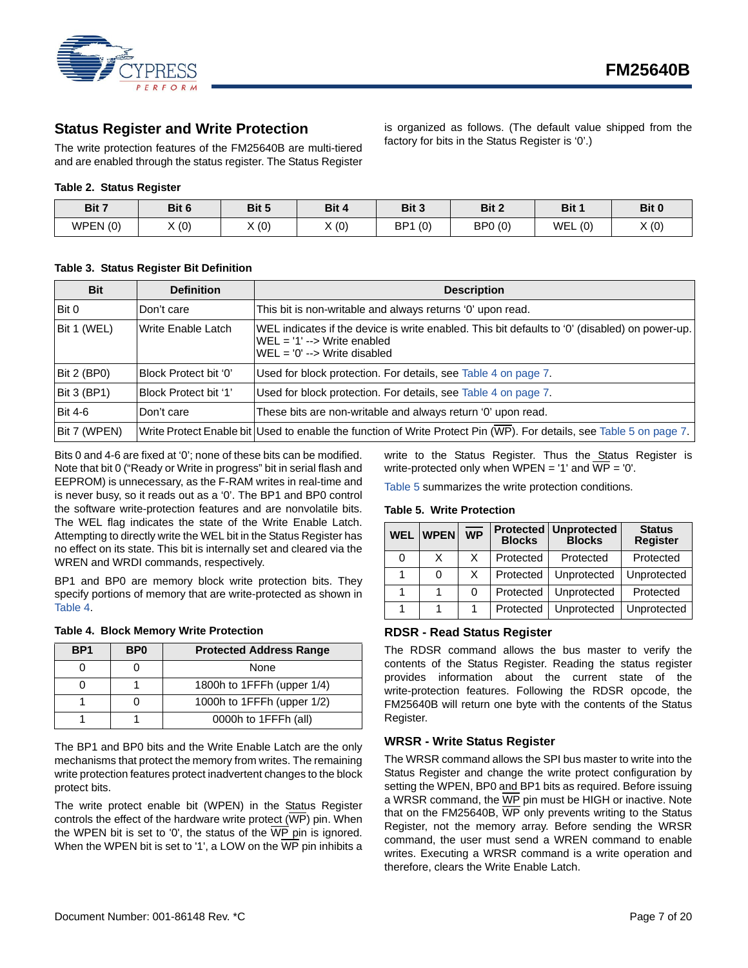

### <span id="page-6-0"></span>**Status Register and Write Protection**

The write protection features of the FM25640B are multi-tiered and are enabled through the status register. The Status Register

#### **Table 2. Status Register**

| Bit 7   | Bit 6 | Bit 5     | Bit 4 | Bit 3      | Bit 2   | Bit 1             | Bit 0 |
|---------|-------|-----------|-------|------------|---------|-------------------|-------|
| WPEN(0) | X(0)  | $\chi(0)$ | X(0)  | (0)<br>BP1 | BP0 (0) | <b>WEL</b><br>(0) | X(0)  |

### <span id="page-6-3"></span>**Table 3. Status Register Bit Definition**

| <b>Bit</b>     | <b>Definition</b>         | <b>Description</b>                                                                                                                                                       |
|----------------|---------------------------|--------------------------------------------------------------------------------------------------------------------------------------------------------------------------|
| Bit 0          | Don't care                | This bit is non-writable and always returns '0' upon read.                                                                                                               |
| Bit 1 (WEL)    | <b>Write Enable Latch</b> | WEL indicates if the device is write enabled. This bit defaults to '0' (disabled) on power-up.<br>$WEL = '1' --$ Write enabled<br>$WEL = '0' \rightarrow Write$ disabled |
| Bit 2 (BP0)    | Block Protect bit '0'     | Used for block protection. For details, see Table 4 on page 7.                                                                                                           |
| Bit 3 (BP1)    | Block Protect bit '1'     | Used for block protection. For details, see Table 4 on page 7.                                                                                                           |
| <b>Bit 4-6</b> | Don't care                | These bits are non-writable and always return '0' upon read.                                                                                                             |
| Bit 7 (WPEN)   |                           | Write Protect Enable bit Used to enable the function of Write Protect Pin (WP). For details, see Table 5 on page 7.                                                      |

Bits 0 and 4-6 are fixed at '0'; none of these bits can be modified. Note that bit 0 ("Ready or Write in progress" bit in serial flash and EEPROM) is unnecessary, as the F-RAM writes in real-time and is never busy, so it reads out as a '0'. The BP1 and BP0 control the software write-protection features and are nonvolatile bits. The WEL flag indicates the state of the Write Enable Latch. Attempting to directly write the WEL bit in the Status Register has no effect on its state. This bit is internally set and cleared via the WREN and WRDI commands, respectively.

BP1 and BP0 are memory block write protection bits. They specify portions of memory that are write-protected as shown in Table 4.

#### <span id="page-6-4"></span>**Table 4. Block Memory Write Protection**

| BP <sub>1</sub> | B <sub>P0</sub> | <b>Protected Address Range</b> |  |
|-----------------|-----------------|--------------------------------|--|
|                 |                 | None                           |  |
|                 |                 | 1800h to 1FFFh (upper 1/4)     |  |
|                 |                 | 1000h to 1FFFh (upper 1/2)     |  |
|                 |                 | 0000h to 1FFFh (all)           |  |

The BP1 and BP0 bits and the Write Enable Latch are the only mechanisms that protect the memory from writes. The remaining write protection features protect inadvertent changes to the block protect bits.

The write protect enable bit (WPEN) in the Status Register controls the effect of the hardware write protect  $(\overline{WP})$  pin. When the WPEN bit is set to '0', the status of the  $\overline{\text{WP}}$  pin is ignored. When the WPEN bit is set to '1', a LOW on the WP pin inhibits a write to the Status Register. Thus the Status Register is write-protected only when WPEN = '1' and  $\overline{WP}$  = '0'.

is organized as follows. (The default value shipped from the

factory for bits in the Status Register is '0'.)

[Table 5](#page-6-5) summarizes the write protection conditions.

#### <span id="page-6-5"></span>**Table 5. Write Protection**

| <b>WEL</b> | <b>WPEN</b> | <b>WP</b> | <b>Blocks</b> | <b>Protected   Unprotected</b><br><b>Blocks</b> | <b>Status</b><br><b>Register</b> |
|------------|-------------|-----------|---------------|-------------------------------------------------|----------------------------------|
| 0          | x           | X.        | Protected     | Protected                                       | Protected                        |
|            | 0           | X         | Protected     | Unprotected                                     | Unprotected                      |
|            |             | 0         | Protected     | Unprotected                                     | Protected                        |
|            |             |           | Protected     | Unprotected                                     | Unprotected                      |

### <span id="page-6-1"></span>**RDSR - Read Status Register**

The RDSR command allows the bus master to verify the contents of the Status Register. Reading the status register provides information about the current state of the write-protection features. Following the RDSR opcode, the FM25640B will return one byte with the contents of the Status Register.

#### <span id="page-6-2"></span>**WRSR - Write Status Register**

The WRSR command allows the SPI bus master to write into the Status Register and change the write protect configuration by setting the WPEN, BP0 and BP1 bits as required. Before issuing a WRSR command, the WP pin must be HIGH or inactive. Note that on the FM25640B, WP only prevents writing to the Status Register, not the memory array. Before sending the WRSR command, the user must send a WREN command to enable writes. Executing a WRSR command is a write operation and therefore, clears the Write Enable Latch.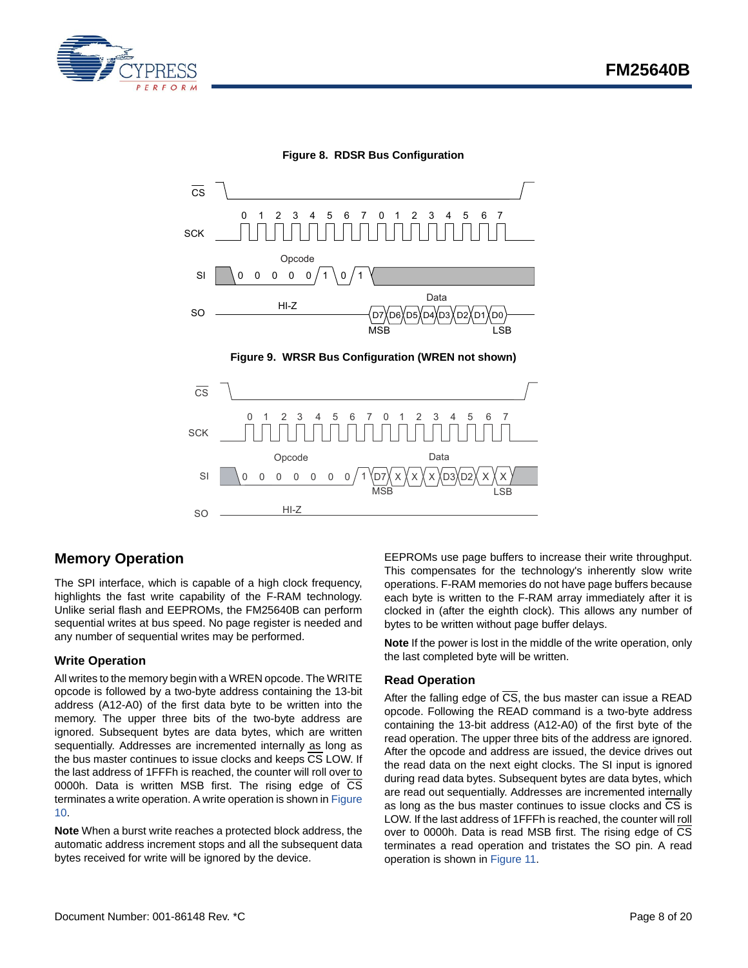



**Figure 8. RDSR Bus Configuration**



# <span id="page-7-0"></span>**Memory Operation**

The SPI interface, which is capable of a high clock frequency, highlights the fast write capability of the F-RAM technology. Unlike serial flash and EEPROMs, the FM25640B can perform sequential writes at bus speed. No page register is needed and any number of sequential writes may be performed.

### <span id="page-7-1"></span>**Write Operation**

All writes to the memory begin with a WREN opcode. The WRITE opcode is followed by a two-byte address containing the 13-bit address (A12-A0) of the first data byte to be written into the memory. The upper three bits of the two-byte address are ignored. Subsequent bytes are data bytes, which are written sequentially. Addresses are incremented internally as long as the bus master continues to issue clocks and keeps  $\overline{\text{CS}}$  LOW. If the last address of 1FFFh is reached, the counter will roll over to 0000h. Data is written MSB first. The rising edge of  $\overline{CS}$ terminates a write operation. A write operation is shown in [Figure](#page-8-1) [10.](#page-8-1)

**Note** When a burst write reaches a protected block address, the automatic address increment stops and all the subsequent data bytes received for write will be ignored by the device.

EEPROMs use page buffers to increase their write throughput. This compensates for the technology's inherently slow write operations. F-RAM memories do not have page buffers because each byte is written to the F-RAM array immediately after it is clocked in (after the eighth clock). This allows any number of bytes to be written without page buffer delays.

**Note** If the power is lost in the middle of the write operation, only the last completed byte will be written.

### <span id="page-7-2"></span>**Read Operation**

After the falling edge of  $\overline{CS}$ , the bus master can issue a READ opcode. Following the READ command is a two-byte address containing the 13-bit address (A12-A0) of the first byte of the read operation. The upper three bits of the address are ignored. After the opcode and address are issued, the device drives out the read data on the next eight clocks. The SI input is ignored during read data bytes. Subsequent bytes are data bytes, which are read out sequentially. Addresses are incremented internally as long as the bus master continues to issue clocks and CS is LOW. If the last address of 1FFFh is reached, the counter will roll over to 0000h. Data is read MSB first. The rising edge of  $\overline{CS}$ terminates a read operation and tristates the SO pin. A read operation is shown in [Figure 11.](#page-8-2)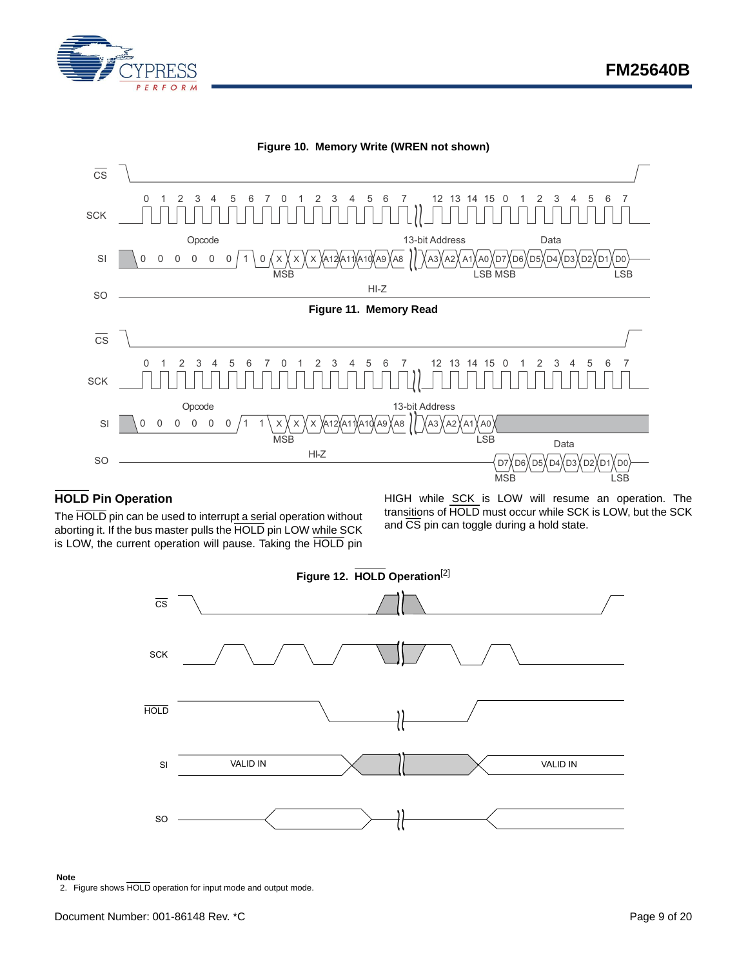

<span id="page-8-2"></span><span id="page-8-1"></span>

### <span id="page-8-0"></span>**HOLD Pin Operation**

The HOLD pin can be used to interrupt a serial operation without aborting it. If the bus master pulls the HOLD pin LOW while SCK is LOW, the current operation will pause. Taking the HOLD pin

HIGH while SCK is LOW will resume an operation. The transitions of HOLD must occur while SCK is LOW, but the SCK and  $\overline{\text{CS}}$  pin can toggle during a hold state.



#### **Note**

<span id="page-8-3"></span>2. Figure shows HOLD operation for input mode and output mode.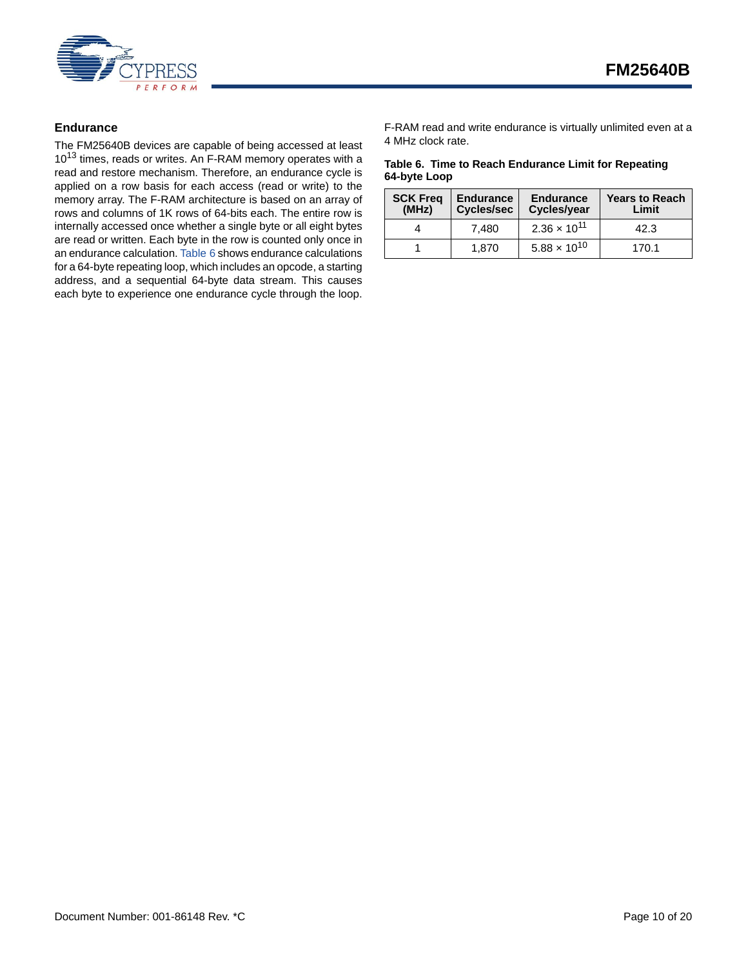

### <span id="page-9-0"></span>**Endurance**

The FM25640B devices are capable of being accessed at least 10<sup>13</sup> times, reads or writes. An F-RAM memory operates with a read and restore mechanism. Therefore, an endurance cycle is applied on a row basis for each access (read or write) to the memory array. The F-RAM architecture is based on an array of rows and columns of 1K rows of 64-bits each. The entire row is internally accessed once whether a single byte or all eight bytes are read or written. Each byte in the row is counted only once in an endurance calculation. [Table 6](#page-9-1) shows endurance calculations for a 64-byte repeating loop, which includes an opcode, a starting address, and a sequential 64-byte data stream. This causes each byte to experience one endurance cycle through the loop.

F-RAM read and write endurance is virtually unlimited even at a 4 MHz clock rate.

#### <span id="page-9-1"></span>**Table 6. Time to Reach Endurance Limit for Repeating 64-byte Loop**

| <b>SCK Freq</b><br>(MHz) | <b>Endurance</b><br><b>Cycles/sec</b> | <b>Endurance</b><br>Cycles/year | <b>Years to Reach</b><br>Limit |
|--------------------------|---------------------------------------|---------------------------------|--------------------------------|
|                          | 7.480                                 | $2.36 \times 10^{11}$           | 42.3                           |
|                          | 1.870                                 | $5.88 \times 10^{10}$           | 170 1                          |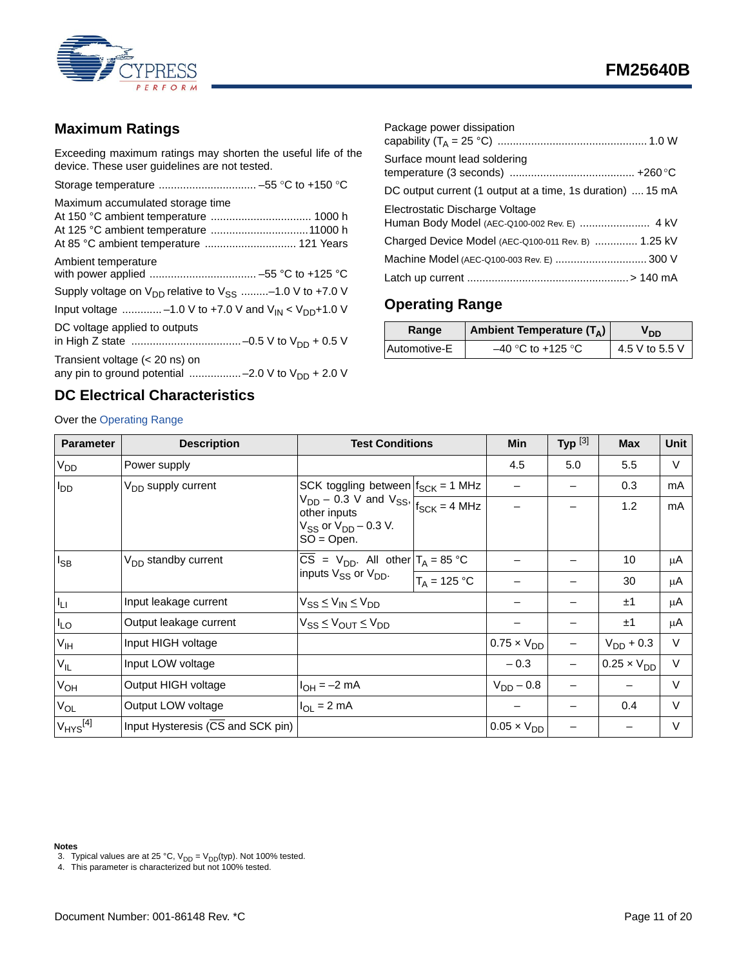

# <span id="page-10-0"></span>**Maximum Ratings**

Exceeding maximum ratings may shorten the useful life of the device. These user guidelines are not tested.

| Maximum accumulated storage time                                          |
|---------------------------------------------------------------------------|
|                                                                           |
|                                                                           |
| At 85 °C ambient temperature  121 Years                                   |
| Ambient temperature                                                       |
|                                                                           |
| Supply voltage on $V_{DD}$ relative to $V_{SS}$ -1.0 V to +7.0 V          |
| Input voltage -1.0 V to +7.0 V and $V_{\text{IN}} < V_{\text{DD}}$ +1.0 V |
| DC voltage applied to outputs                                             |
|                                                                           |
| Transient voltage $(< 20$ ns) on                                          |
| any pin to ground potential -2.0 V to $V_{DD}$ + 2.0 V                    |
|                                                                           |

# <span id="page-10-2"></span>**DC Electrical Characteristics**

Over the [Operating Range](#page-10-1)

| Package power dissipation                                  |
|------------------------------------------------------------|
| Surface mount lead soldering                               |
| DC output current (1 output at a time, 1s duration)  15 mA |
| Electrostatic Discharge Voltage                            |
| Charged Device Model (AEC-Q100-011 Rev. B)  1.25 kV        |
| Machine Model (AEC-Q100-003 Rev. E)  300 V                 |
|                                                            |

# <span id="page-10-1"></span>**Operating Range**

| Range        | <b>Ambient Temperature (TA)</b> | OD <sup>7</sup> |
|--------------|---------------------------------|-----------------|
| Automotive-E | $-40$ °C to +125 °C             | 4.5 V to 5.5 V  |

| <b>Parameter</b>         | <b>Description</b>                | <b>Test Conditions</b>                                                                                             |                | Min                  | Typ $^{[3]}$ | <b>Max</b>           | Unit   |
|--------------------------|-----------------------------------|--------------------------------------------------------------------------------------------------------------------|----------------|----------------------|--------------|----------------------|--------|
| V <sub>DD</sub>          | Power supply                      |                                                                                                                    |                | 4.5                  | 5.0          | 5.5                  | $\vee$ |
| $I_{DD}$                 | V <sub>DD</sub> supply current    | SCK toggling between $f_{SCK}$ = 1 MHz                                                                             |                |                      |              | 0.3                  | mA     |
|                          |                                   | $V_{DD}$ – 0.3 V and $V_{SS}$ , $V_{SCK}$ = 4 MHz<br>other inputs<br>$V_{SS}$ or $V_{DD}$ – 0.3 V.<br>$SO = Open.$ |                |                      |              | 1.2                  | mA     |
| $I_{SB}$                 | V <sub>DD</sub> standby current   | $\overline{CS}$ = V <sub>DD</sub> . All other $T_A$ = 85 °C<br>inputs V <sub>SS</sub> or V <sub>DD</sub> .         |                |                      |              | 10                   | μA     |
|                          |                                   |                                                                                                                    | $T_A = 125 °C$ |                      |              | 30                   | μA     |
| $I_{\rm LI}$             | Input leakage current             | $\rm V_{SS}$ $\leq$ $\rm V_{IN}$ $\leq$ $\rm V_{DD}$                                                               |                |                      |              | ±1                   | μA     |
| $I_{LO}$                 | Output leakage current            | $V_{SS} \leq V_{OUT} \leq V_{DD}$                                                                                  |                |                      |              | ±1                   | μA     |
| V <sub>IH</sub>          | Input HIGH voltage                |                                                                                                                    |                | $0.75 \times V_{DD}$ |              | $V_{DD}$ + 0.3       | $\vee$ |
| $V_{IL}$                 | Input LOW voltage                 |                                                                                                                    |                | $-0.3$               |              | $0.25 \times V_{DD}$ | $\vee$ |
| $V_{OH}$                 | Output HIGH voltage               | $I_{OH} = -2$ mA                                                                                                   |                | $V_{DD} - 0.8$       |              |                      | $\vee$ |
| $V_{OL}$                 | Output LOW voltage                | $I_{OL} = 2 mA$                                                                                                    |                |                      |              | 0.4                  | V      |
| $V_{HYS}$ <sup>[4]</sup> | Input Hysteresis (CS and SCK pin) |                                                                                                                    |                | $0.05 \times V_{DD}$ |              |                      | $\vee$ |

**Notes**

<span id="page-10-3"></span>3. Typical values are at 25 °C,  $V_{DD} = V_{DD}(typ)$ . Not 100% tested.

<span id="page-10-4"></span>4. This parameter is characterized but not 100% tested.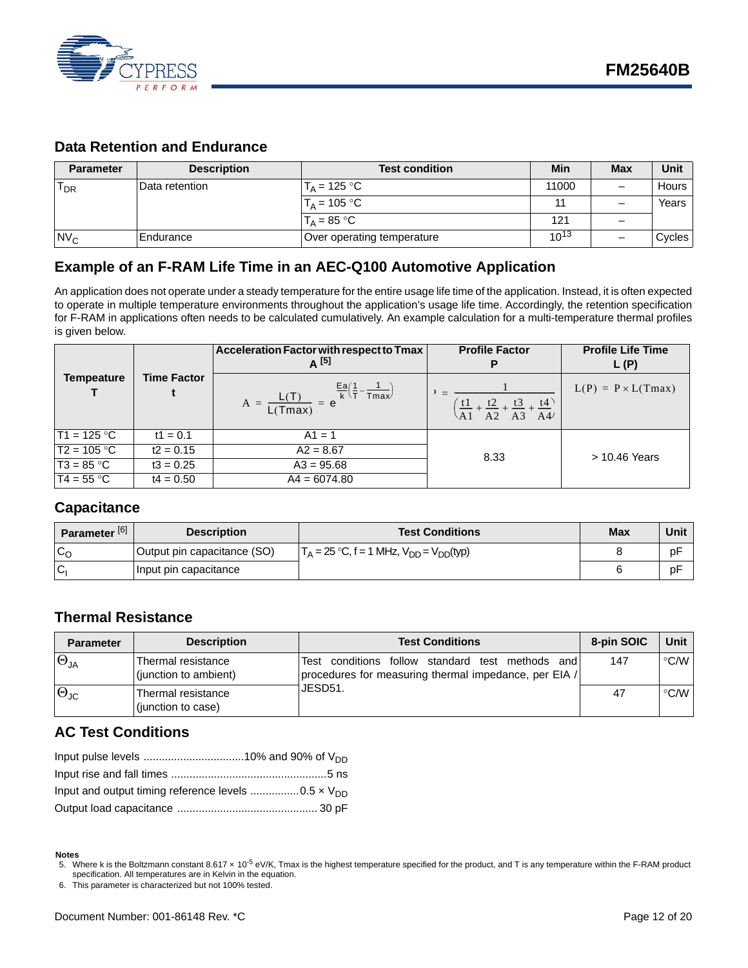

# <span id="page-11-0"></span>**Data Retention and Endurance**

| <b>Parameter</b> | <b>Description</b> | <b>Test condition</b>      | Min       | Max | Unit    |
|------------------|--------------------|----------------------------|-----------|-----|---------|
| $T_{DR}$         | Data retention     | $T_A$ = 125 °C             | 11000     |     | Hours I |
|                  |                    | $T_A$ = 105 °C             |           | -   | Years   |
|                  |                    | $T_A = 85 °C$              | 121       | -   |         |
| NV <sub>C</sub>  | l Endurance        | Over operating temperature | $10^{13}$ |     | Cycles  |

# <span id="page-11-1"></span>**Example of an F-RAM Life Time in an AEC-Q100 Automotive Application**

An application does not operate under a steady temperature for the entire usage life time of the application. Instead, it is often expected to operate in multiple temperature environments throughout the application's usage life time. Accordingly, the retention specification for F-RAM in applications often needs to be calculated cumulatively. An example calculation for a multi-temperature thermal profiles is given below.

|                   |                    | Acceleration Factor with respect to Tmax<br>$A^{[5]}$                       | <b>Profile Factor</b>                                                        | <b>Profile Life Time</b><br>L(P) |
|-------------------|--------------------|-----------------------------------------------------------------------------|------------------------------------------------------------------------------|----------------------------------|
| <b>Tempeature</b> | <b>Time Factor</b> | $A = \frac{L(T)}{L(Tmax)} = e^{\frac{Ea}{k}(\frac{1}{T} - \frac{1}{Tmax})}$ | $-\frac{t^2}{A^2} + \frac{t^3}{A^3} +$<br>$\frac{t1}{A1}$<br>$\frac{t4}{A4}$ | $L(P) = P \times L(Tmax)$        |
| $T1 = 125 °C$     | $t1 = 0.1$         | $A1 = 1$                                                                    |                                                                              |                                  |
| $T2 = 105 °C$     | $t2 = 0.15$        | $A2 = 8.67$                                                                 | 8.33                                                                         | > 10.46 Years                    |
| $T3 = 85 °C$      | $t3 = 0.25$        | $A3 = 95.68$                                                                |                                                                              |                                  |
| $T4 = 55 °C$      | $t4 = 0.50$        | $A4 = 6074.80$                                                              |                                                                              |                                  |

### <span id="page-11-2"></span>**Capacitance**

| Parameter <sup>[6]</sup> | <b>Description</b>          | <b>Test Conditions</b>                           |  | Unit |
|--------------------------|-----------------------------|--------------------------------------------------|--|------|
| $c_{\rm o}$              | Output pin capacitance (SO) | $T_A = 25$ °C, f = 1 MHz, $V_{DD} = V_{DD}(typ)$ |  | рF   |
| IC.                      | Input pin capacitance       |                                                  |  | рF   |

### <span id="page-11-3"></span>**Thermal Resistance**

| <b>Parameter</b>     | <b>Description</b>                          | <b>Test Conditions</b>                                                                                                   | 8-pin SOIC | Unit |
|----------------------|---------------------------------------------|--------------------------------------------------------------------------------------------------------------------------|------------|------|
| $\Theta_{JA}$        | Thermal resistance<br>(junction to ambient) | conditions follow<br>standard<br>methods<br>and<br>test<br>Test<br>procedures for measuring thermal impedance, per EIA / | 147        | °C/W |
| $\Theta_{\text{JC}}$ | Thermal resistance<br>(junction to case)    | JESD51.                                                                                                                  | 47         | °C/W |

# <span id="page-11-4"></span>**AC Test Conditions**

#### **Notes**

<span id="page-11-5"></span>6. This parameter is characterized but not 100% tested.

<span id="page-11-6"></span><sup>5.</sup> Where k is the Boltzmann constant 8.617 x 10<sup>-5</sup> eV/K, Tmax is the highest temperature specified for the product, and T is any temperature within the F-RAM product specification. All temperatures are in Kelvin in the equation.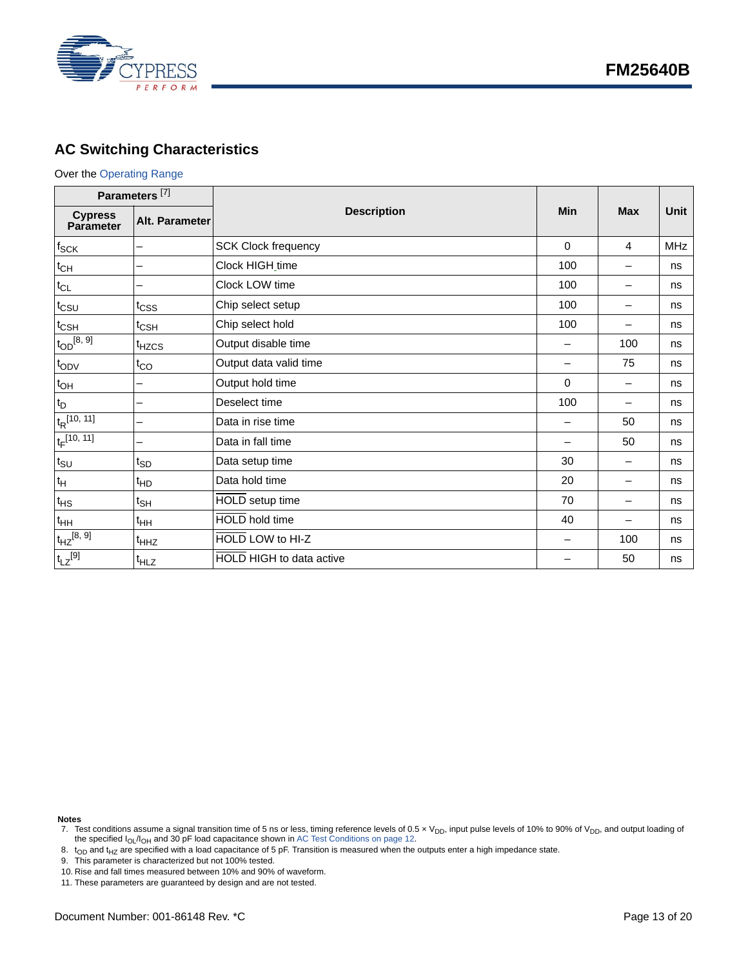

# <span id="page-12-0"></span>**AC Switching Characteristics**

### Over the [Operating Range](#page-10-1)

| Parameters <sup>[7]</sup>   |                   |                                 |             |                          |            |
|-----------------------------|-------------------|---------------------------------|-------------|--------------------------|------------|
| <b>Cypress</b><br>Parameter | Alt. Parameter    | <b>Description</b>              | Min         | <b>Max</b>               | Unit       |
| $f_{\mathsf{SCK}}$          |                   | <b>SCK Clock frequency</b>      | $\Omega$    | $\overline{4}$           | <b>MHz</b> |
| $t_{CH}$                    |                   | Clock HIGH_time                 | 100         | -                        | ns         |
| $t_{CL}$                    |                   | Clock LOW time                  | 100         | $\overline{\phantom{0}}$ | ns         |
| $t_{\text{CSU}}$            | t <sub>CSS</sub>  | Chip select setup               | 100         | —                        | ns         |
| $t_{\text{CSH}}$            | $t_{\text{CSH}}$  | Chip select hold                | 100         | —                        | ns         |
| $t_{OD}$ [8, 9]             | <sup>t</sup> HZCS | Output disable time             |             | 100                      | ns         |
| $t_{ODV}$                   | $t_{CO}$          | Output data valid time          |             | 75                       | ns         |
| $t_{OH}$                    |                   | Output hold time                | $\mathbf 0$ | $\overline{\phantom{0}}$ | ns         |
| $t_D$                       |                   | Deselect time                   | 100         | $\overline{\phantom{0}}$ | ns         |
| $t_R$ [10, 11]              |                   | Data in rise time               |             | 50                       | ns         |
| $t_F$ [10, 11]              |                   | Data in fall time               |             | 50                       | ns         |
| $t_{\scriptstyle\text{SU}}$ | $t_{SD}$          | Data setup time                 | 30          | $\overline{\phantom{0}}$ | ns         |
| $t_H$                       | <sup>t</sup> HD   | Data hold time                  | 20          | —                        | ns         |
| $t_{HS}$                    | $t_{\mathsf{SH}}$ | HOLD setup time                 | 70          | $\overline{\phantom{0}}$ | ns         |
| $t_{HH}$                    | $t_{HH}$          | <b>HOLD</b> hold time           | 40          | $\overline{\phantom{0}}$ | ns         |
| $t_{HZ}^{[8, 9]}$           | <sup>t</sup> HHZ  | HOLD LOW to HI-Z                |             | 100                      | ns         |
| $t_{LZ}^{[9]}$              | <sup>t</sup> HLZ  | <b>HOLD HIGH to data active</b> |             | 50                       | ns         |

**Notes**

- <span id="page-12-3"></span>
- <span id="page-12-4"></span>10. Rise and fall times measured between 10% and 90% of waveform.

<span id="page-12-1"></span><sup>7.</sup> Test conditions assume a signal transition time of 5 ns or less, timing reference levels of 0.5 x V<sub>DD</sub>, input pulse levels of 10% to 90% of V<sub>DD</sub>, and output loading of the specified I<sub>OL</sub>/I<sub>OH</sub> and 30 pF load capacit

<span id="page-12-2"></span><sup>8.</sup>  $\rm t_{OD}$  and t<sub>HZ</sub> are specified with a load capacitance of 5 pF. Transition is measured when the outputs enter a high impedance state.<br>9. This parameter is characterized but not 100% tested.

<span id="page-12-5"></span><sup>11.</sup> These parameters are guaranteed by design and are not tested.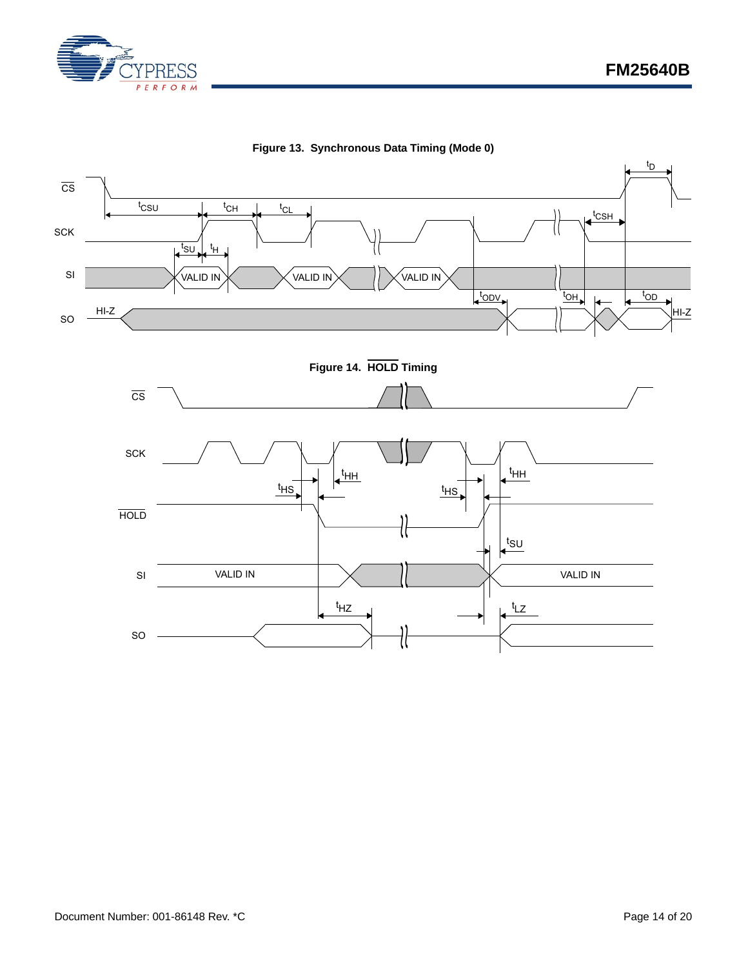



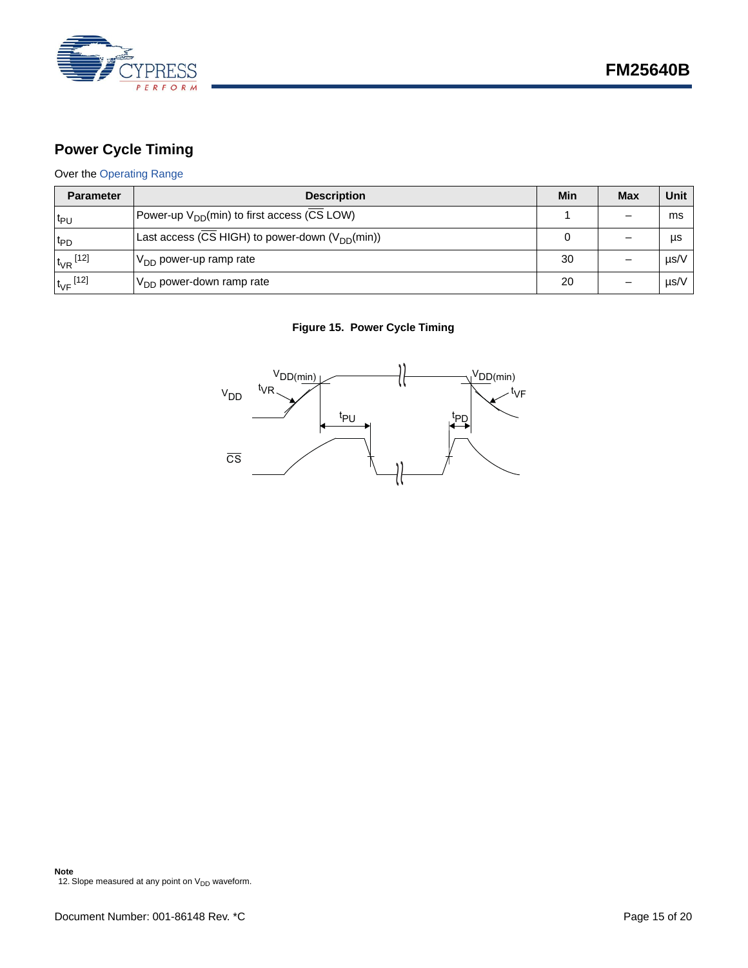

# <span id="page-14-0"></span>**Power Cycle Timing**

# Over the [Operating Range](#page-10-1)

| <b>Parameter</b>         | <b>Description</b>                                      | Min | <b>Max</b> | Unit |
|--------------------------|---------------------------------------------------------|-----|------------|------|
| l <sup>t</sup> P∪        | Power-up V <sub>DD</sub> (min) to first access (CS LOW) |     |            | ms   |
| t <sub>PD</sub>          | Last access (CS HIGH) to power-down $(V_{DD}(min))$     |     |            | μs   |
| $t_{VR}$ <sup>[12]</sup> | $V_{DD}$ power-up ramp rate                             |     |            | µs/V |
| $t_{\rm VF}$ [12]        | $V_{DD}$ power-down ramp rate                           | 20  |            | µs/V |

### **Figure 15. Power Cycle Timing**

<span id="page-14-1"></span>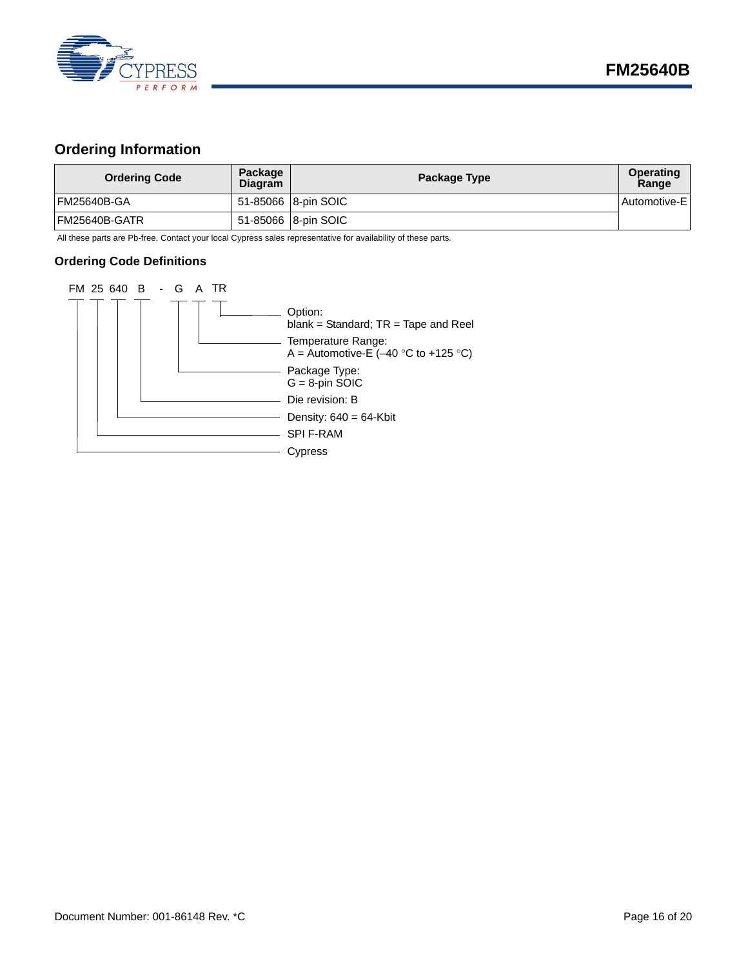

# <span id="page-15-0"></span>**Ordering Information**

| <b>Ordering Code</b> | Package<br><b>Diagram</b> | Package Type         | <b>Operating</b><br>Range |
|----------------------|---------------------------|----------------------|---------------------------|
| FM25640B-GA          |                           | 51-85066 18-pin SOIC | Automotive-E              |
| FM25640B-GATR        |                           | 51-85066 8-pin SOIC  |                           |

All these parts are Pb-free. Contact your local Cypress sales representative for availability of these parts.

### <span id="page-15-1"></span>**Ordering Code Definitions**

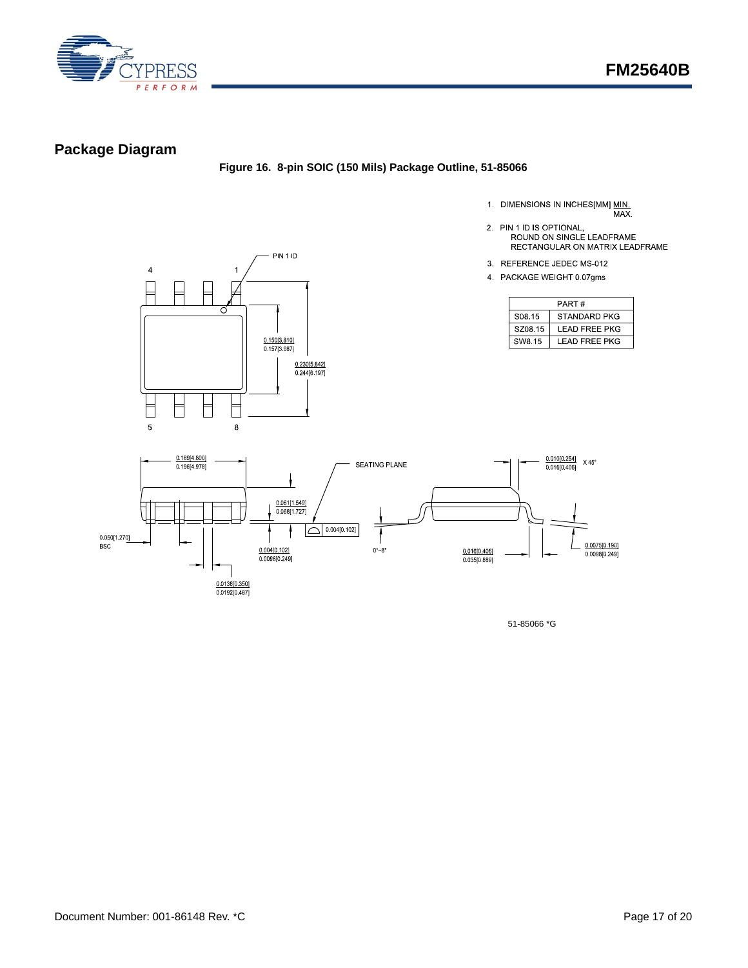

# <span id="page-16-0"></span>**Package Diagram**

### **Figure 16. 8-pin SOIC (150 Mils) Package Outline, 51-85066**

- 1. DIMENSIONS IN INCHES[MM] MIN.<br>MAX.
	-



- 2. PIN 1 ID IS OPTIONAL,<br>ROUND ON SINGLE LEADFRAME<br>RECTANGULAR ON MATRIX LEADFRAME
- 3. REFERENCE JEDEC MS-012
- 4 PACKAGE WEIGHT 0.07gms

| PART#              |                      |  |
|--------------------|----------------------|--|
| S08 15             | STANDARD PKG         |  |
| SZ08.15            | <b>LEAD FREE PKG</b> |  |
| SW <sub>8</sub> 15 | I FAD FRFF PKG       |  |



51-85066 \*G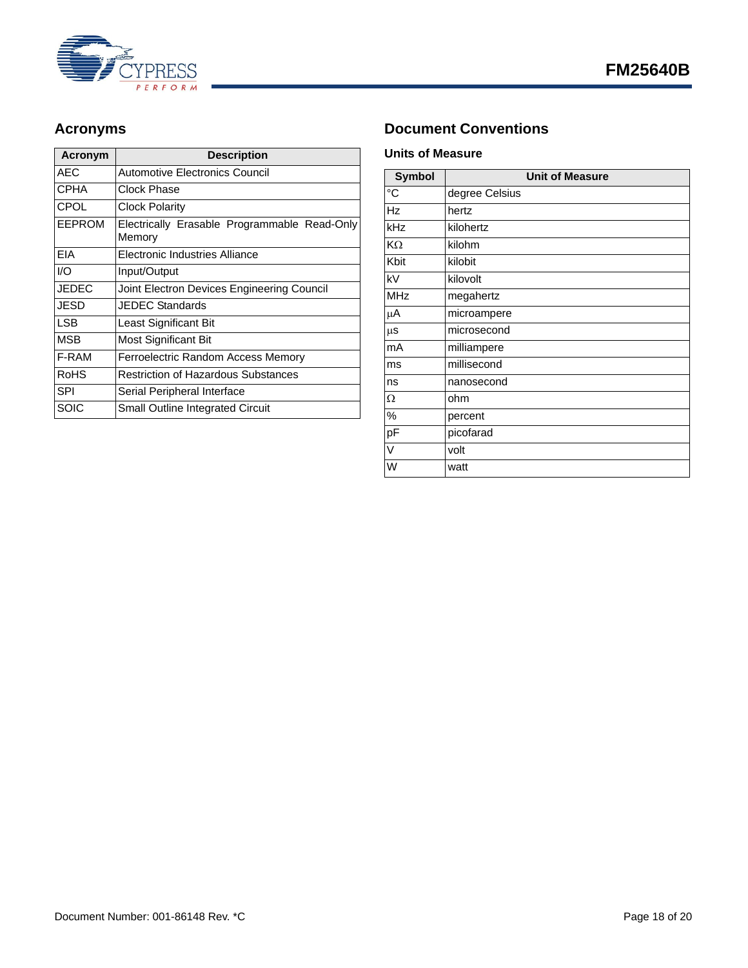

| Acronym       | <b>Description</b>                                     |
|---------------|--------------------------------------------------------|
| <b>AEC</b>    | <b>Automotive Electronics Council</b>                  |
| <b>CPHA</b>   | Clock Phase                                            |
| CPOL          | Clock Polarity                                         |
| <b>EEPROM</b> | Electrically Erasable Programmable Read-Only<br>Memory |
| <b>FIA</b>    | Electronic Industries Alliance                         |
| I/O           | Input/Output                                           |
| <b>JEDEC</b>  | Joint Electron Devices Engineering Council             |
| JESD          | <b>JEDEC Standards</b>                                 |
| <b>LSB</b>    | Least Significant Bit                                  |
| <b>MSB</b>    | Most Significant Bit                                   |
| F-RAM         | Ferroelectric Random Access Memory                     |
| <b>RoHS</b>   | <b>Restriction of Hazardous Substances</b>             |
| <b>SPI</b>    | Serial Peripheral Interface                            |
| SOIC          | <b>Small Outline Integrated Circuit</b>                |

# <span id="page-17-0"></span>Acronyms **Document Conventions**

### <span id="page-17-2"></span><span id="page-17-1"></span>**Units of Measure**

| <b>Symbol</b>  | <b>Unit of Measure</b> |
|----------------|------------------------|
| $\overline{C}$ | degree Celsius         |
| Hz             | hertz                  |
| kHz            | kilohertz              |
| KΩ             | kilohm                 |
| Kbit           | kilobit                |
| kV             | kilovolt               |
| <b>MHz</b>     | megahertz              |
| μA             | microampere            |
| $\mu$ s        | microsecond            |
| mA             | milliampere            |
| ms             | millisecond            |
| ns             | nanosecond             |
| Ω              | ohm                    |
| %              | percent                |
| pF             | picofarad              |
| V              | volt                   |
| W              | watt                   |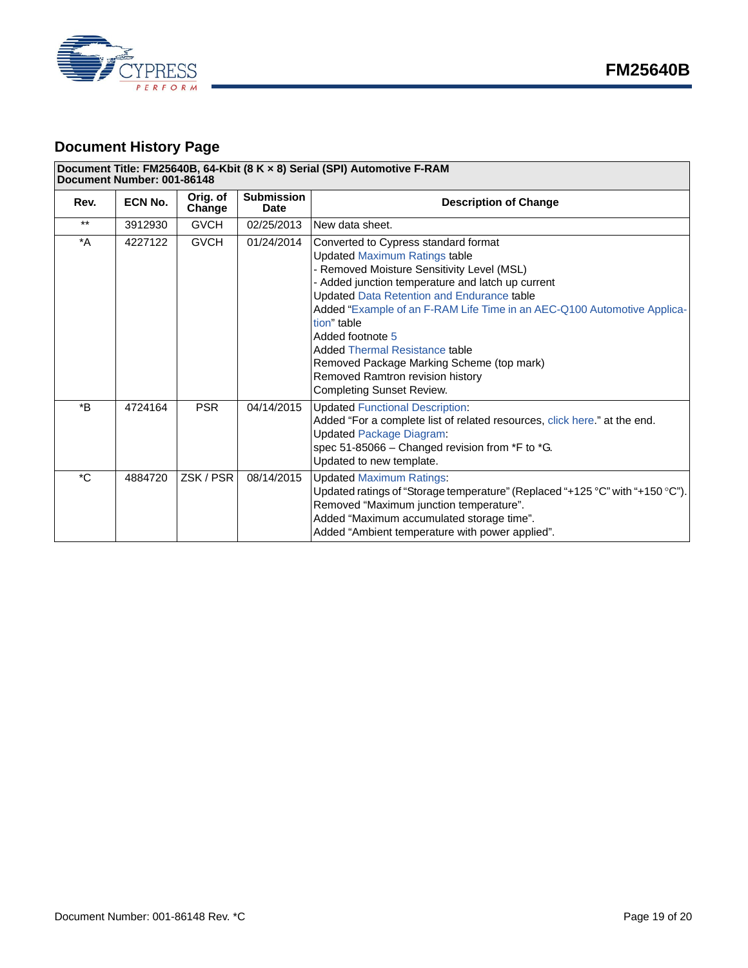

# <span id="page-18-0"></span>**Document History Page**

#### **Document Title: FM25640B, 64-Kbit (8 K × 8) Serial (SPI) Automotive F-RAM Document Number: 001-86148**

| Rev.             | <b>ECN No.</b> | Orig. of<br>Change | <b>Submission</b><br><b>Date</b> | <b>Description of Change</b>                                                                                                                                                                                                                                                                                                                                                                                                                                                                          |
|------------------|----------------|--------------------|----------------------------------|-------------------------------------------------------------------------------------------------------------------------------------------------------------------------------------------------------------------------------------------------------------------------------------------------------------------------------------------------------------------------------------------------------------------------------------------------------------------------------------------------------|
| $***$            | 3912930        | <b>GVCH</b>        | 02/25/2013                       | New data sheet.                                                                                                                                                                                                                                                                                                                                                                                                                                                                                       |
| $^*A$            | 4227122        | <b>GVCH</b>        | 01/24/2014                       | Converted to Cypress standard format<br><b>Updated Maximum Ratings table</b><br>Removed Moisture Sensitivity Level (MSL)<br>Added junction temperature and latch up current<br><b>Updated Data Retention and Endurance table</b><br>Added "Example of an F-RAM Life Time in an AEC-Q100 Automotive Applica-<br>tion" table<br>Added footnote 5<br>Added Thermal Resistance table<br>Removed Package Marking Scheme (top mark)<br>Removed Ramtron revision history<br><b>Completing Sunset Review.</b> |
| $*_{\mathsf{B}}$ | 4724164        | <b>PSR</b>         | 04/14/2015                       | <b>Updated Functional Description:</b><br>Added "For a complete list of related resources, click here." at the end.<br><b>Updated Package Diagram:</b><br>spec 51-85066 - Changed revision from *F to *G.<br>Updated to new template.                                                                                                                                                                                                                                                                 |
| $^{\star}$ C     | 4884720        | ZSK/PSR            | 08/14/2015                       | <b>Updated Maximum Ratings:</b><br>Updated ratings of "Storage temperature" (Replaced "+125 °C" with "+150 °C").<br>Removed "Maximum junction temperature".<br>Added "Maximum accumulated storage time".<br>Added "Ambient temperature with power applied".                                                                                                                                                                                                                                           |